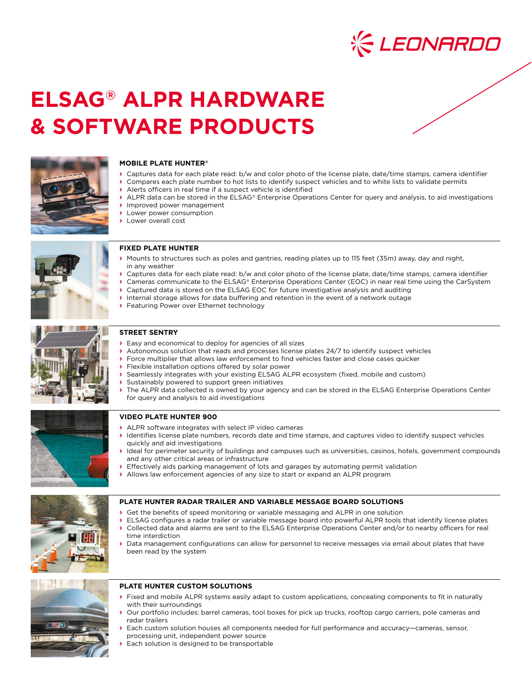

# **ELSAG® ALPR HARDWARE & SOFTWARE PRODUCTS**



# **MOBILE PLATE HUNTER®**

- **›** Captures data for each plate read: b/w and color photo of the license plate, date/time stamps, camera identifier
- **›** Compares each plate number to hot lists to identify suspect vehicles and to white lists to validate permits **›** Alerts officers in real time if a suspect vehicle is identified
	- **›** ALPR data can be stored in the ELSAG® Enterprise Operations Center for query and analysis, to aid investigations
	- **›** Improved power management
	- **›** Lower power consumption
	- **›** Lower overall cost



# **FIXED PLATE HUNTER**

- **›** Mounts to structures such as poles and gantries, reading plates up to 115 feet (35m) away, day and night, in any weather
- **›** Captures data for each plate read: b/w and color photo of the license plate, date/time stamps, camera identifier
- **›** Cameras communicate to the ELSAG® Enterprise Operations Center (EOC) in near real time using the CarSystem
	- **›** Captured data is stored on the ELSAG EOC for future investigative analysis and auditing
	- **›** Internal storage allows for data buffering and retention in the event of a network outage
	- **›** Featuring Power over Ethernet technology



# **STREET SENTRY**

- **›** Easy and economical to deploy for agencies of all sizes
- **›** Autonomous solution that reads and processes license plates 24/7 to identify suspect vehicles
- **›** Force multiplier that allows law enforcement to find vehicles faster and close cases quicker
- **›** Flexible installation options offered by solar power
- **›** Seamlessly integrates with your existing ELSAG ALPR ecosystem (fixed, mobile and custom)
	- **›** Sustainably powered to support green initiatives
- **›** The ALPR data collected is owned by your agency and can be stored in the ELSAG Enterprise Operations Center for query and analysis to aid investigations



# **VIDEO PLATE HUNTER 900**

- **›** ALPR software integrates with select IP video cameras
- **›** Identifies license plate numbers, records date and time stamps, and captures video to identify suspect vehicles quickly and aid investigations
- **›** Ideal for perimeter security of buildings and campuses such as universities, casinos, hotels, government compounds and any other critical areas or infrastructure
- **›** Effectively aids parking management of lots and garages by automating permit validation
- **›** Allows law enforcement agencies of any size to start or expand an ALPR program



### **PLATE HUNTER RADAR TRAILER AND VARIABLE MESSAGE BOARD SOLUTIONS**

- **›** Get the benefits of speed monitoring or variable messaging and ALPR in one solution
- **›** ELSAG configures a radar trailer or variable message board into powerful ALPR tools that identify license plates
- **›** Collected data and alarms are sent to the ELSAG Enterprise Operations Center and/or to nearby officers for real time interdiction
- **›** Data management configurations can allow for personnel to receive messages via email about plates that have been read by the system



- **›** Our portfolio includes: barrel cameras, tool boxes for pick up trucks, rooftop cargo carriers, pole cameras and radar trailers
- **›** Each custom solution houses all components needed for full performance and accuracy—cameras, sensor, processing unit, independent power source
- **›** Each solution is designed to be transportable